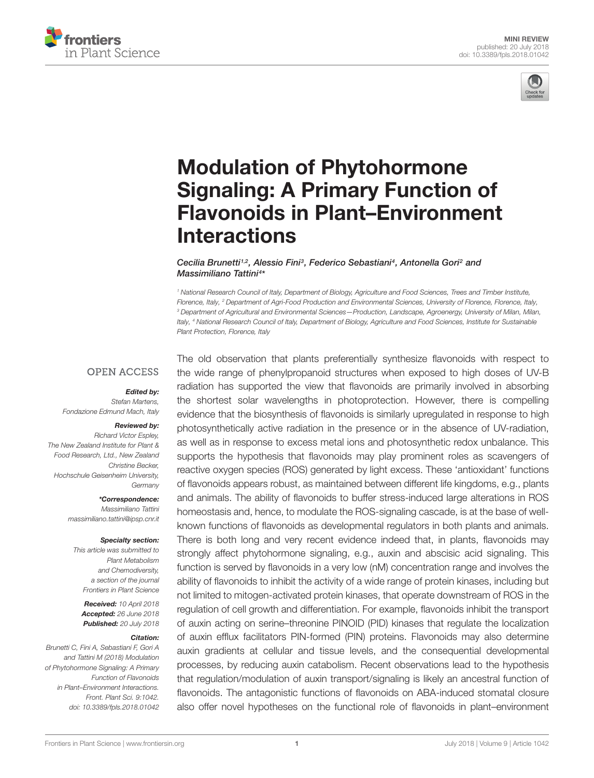



# Modulation of Phytohormone Signaling: A Primary Function of [Flavonoids in Plant–Environment](https://www.frontiersin.org/articles/10.3389/fpls.2018.01042/full) Interactions

[Cecilia Brunetti](http://loop.frontiersin.org/people/362103/overview)<sup>1,2</sup>, [Alessio Fini](http://loop.frontiersin.org/people/329535/overview)<sup>3</sup>, [Federico Sebastiani](http://loop.frontiersin.org/people/313842/overview)<sup>4</sup>, [Antonella Gori](http://loop.frontiersin.org/people/356337/overview)<sup>2</sup> and [Massimiliano Tattini](http://loop.frontiersin.org/people/93967/overview)<sup>4</sup> \*

<sup>1</sup> National Research Council of Italy, Department of Biology, Agriculture and Food Sciences, Trees and Timber Institute, Florence, Italy, <sup>2</sup> Department of Agri-Food Production and Environmental Sciences, University of Florence, Florence, Italy, <sup>3</sup> Department of Agricultural and Environmental Sciences—Production, Landscape, Agroenergy, University of Milan, Milan, Italy, <sup>4</sup> National Research Council of Italy, Department of Biology, Agriculture and Food Sciences, Institute for Sustainable Plant Protection, Florence, Italy

## **OPEN ACCESS**

### Edited by:

Stefan Martens, Fondazione Edmund Mach, Italy

## Reviewed by:

Richard Victor Espley, The New Zealand Institute for Plant & Food Research, Ltd., New Zealand Christine Becker, Hochschule Geisenheim University, **Germany** 

> \*Correspondence: Massimiliano Tattini massimiliano.tattini@ipsp.cnr.it

#### Specialty section:

This article was submitted to Plant Metabolism and Chemodiversity, a section of the journal Frontiers in Plant Science

Received: 10 April 2018 Accepted: 26 June 2018 Published: 20 July 2018

#### Citation:

Brunetti C, Fini A, Sebastiani F, Gori A and Tattini M (2018) Modulation of Phytohormone Signaling: A Primary Function of Flavonoids in Plant–Environment Interactions. Front. Plant Sci. 9:1042. doi: [10.3389/fpls.2018.01042](https://doi.org/10.3389/fpls.2018.01042) The old observation that plants preferentially synthesize flavonoids with respect to the wide range of phenylpropanoid structures when exposed to high doses of UV-B radiation has supported the view that flavonoids are primarily involved in absorbing the shortest solar wavelengths in photoprotection. However, there is compelling evidence that the biosynthesis of flavonoids is similarly upregulated in response to high photosynthetically active radiation in the presence or in the absence of UV-radiation, as well as in response to excess metal ions and photosynthetic redox unbalance. This supports the hypothesis that flavonoids may play prominent roles as scavengers of reactive oxygen species (ROS) generated by light excess. These 'antioxidant' functions of flavonoids appears robust, as maintained between different life kingdoms, e.g., plants and animals. The ability of flavonoids to buffer stress-induced large alterations in ROS homeostasis and, hence, to modulate the ROS-signaling cascade, is at the base of wellknown functions of flavonoids as developmental regulators in both plants and animals. There is both long and very recent evidence indeed that, in plants, flavonoids may strongly affect phytohormone signaling, e.g., auxin and abscisic acid signaling. This function is served by flavonoids in a very low (nM) concentration range and involves the ability of flavonoids to inhibit the activity of a wide range of protein kinases, including but not limited to mitogen-activated protein kinases, that operate downstream of ROS in the regulation of cell growth and differentiation. For example, flavonoids inhibit the transport of auxin acting on serine–threonine PINOID (PID) kinases that regulate the localization of auxin efflux facilitators PIN-formed (PIN) proteins. Flavonoids may also determine auxin gradients at cellular and tissue levels, and the consequential developmental processes, by reducing auxin catabolism. Recent observations lead to the hypothesis that regulation/modulation of auxin transport/signaling is likely an ancestral function of flavonoids. The antagonistic functions of flavonoids on ABA-induced stomatal closure also offer novel hypotheses on the functional role of flavonoids in plant–environment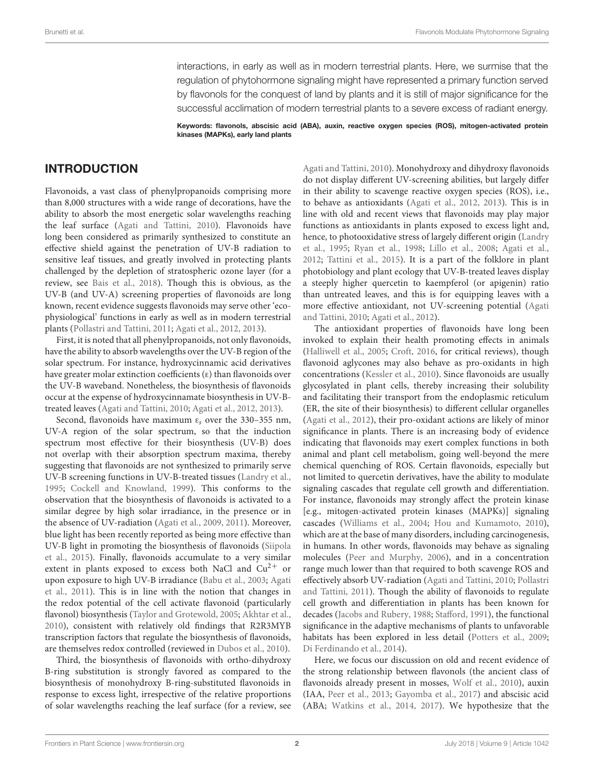interactions, in early as well as in modern terrestrial plants. Here, we surmise that the regulation of phytohormone signaling might have represented a primary function served by flavonols for the conquest of land by plants and it is still of major significance for the successful acclimation of modern terrestrial plants to a severe excess of radiant energy.

Keywords: flavonols, abscisic acid (ABA), auxin, reactive oxygen species (ROS), mitogen-activated protein kinases (MAPKs), early land plants

## INTRODUCTION

Flavonoids, a vast class of phenylpropanoids comprising more than 8,000 structures with a wide range of decorations, have the ability to absorb the most energetic solar wavelengths reaching the leaf surface [\(Agati and Tattini,](#page-5-0) [2010\)](#page-5-0). Flavonoids have long been considered as primarily synthesized to constitute an effective shield against the penetration of UV-B radiation to sensitive leaf tissues, and greatly involved in protecting plants challenged by the depletion of stratospheric ozone layer (for a review, see [Bais et al.,](#page-5-1) [2018\)](#page-5-1). Though this is obvious, as the UV-B (and UV-A) screening properties of flavonoids are long known, recent evidence suggests flavonoids may serve other 'ecophysiological' functions in early as well as in modern terrestrial plants [\(Pollastri and Tattini,](#page-6-0) [2011;](#page-6-0) [Agati et al.,](#page-5-2) [2012,](#page-5-2) [2013\)](#page-5-3).

First, it is noted that all phenylpropanoids, not only flavonoids, have the ability to absorb wavelengths over the UV-B region of the solar spectrum. For instance, hydroxycinnamic acid derivatives have greater molar extinction coefficients (ε) than flavonoids over the UV-B waveband. Nonetheless, the biosynthesis of flavonoids occur at the expense of hydroxycinnamate biosynthesis in UV-Btreated leaves [\(Agati and Tattini,](#page-5-0) [2010;](#page-5-0) [Agati et al.,](#page-5-2) [2012,](#page-5-2) [2013\)](#page-5-3).

Second, flavonoids have maximum  $\varepsilon$ , over the 330–355 nm, UV-A region of the solar spectrum, so that the induction spectrum most effective for their biosynthesis (UV-B) does not overlap with their absorption spectrum maxima, thereby suggesting that flavonoids are not synthesized to primarily serve UV-B screening functions in UV-B-treated tissues [\(Landry et al.,](#page-6-1) [1995;](#page-6-1) [Cockell and Knowland,](#page-5-4) [1999\)](#page-5-4). This conforms to the observation that the biosynthesis of flavonoids is activated to a similar degree by high solar irradiance, in the presence or in the absence of UV-radiation [\(Agati et al.,](#page-5-5) [2009,](#page-5-5) [2011\)](#page-5-6). Moreover, blue light has been recently reported as being more effective than UV-B light in promoting the biosynthesis of flavonoids [\(Siipola](#page-6-2) [et al.,](#page-6-2) [2015\)](#page-6-2). Finally, flavonoids accumulate to a very similar extent in plants exposed to excess both NaCl and  $Cu^{2+}$  or upon exposure to high UV-B irradiance [\(Babu et al.,](#page-5-7) [2003;](#page-5-7) [Agati](#page-5-6) [et al.,](#page-5-6) [2011\)](#page-5-6). This is in line with the notion that changes in the redox potential of the cell activate flavonoid (particularly flavonol) biosynthesis [\(Taylor and Grotewold,](#page-7-0) [2005;](#page-7-0) [Akhtar et al.,](#page-5-8) [2010\)](#page-5-8), consistent with relatively old findings that R2R3MYB transcription factors that regulate the biosynthesis of flavonoids, are themselves redox controlled (reviewed in [Dubos et al.,](#page-5-9) [2010\)](#page-5-9).

Third, the biosynthesis of flavonoids with ortho-dihydroxy B-ring substitution is strongly favored as compared to the biosynthesis of monohydroxy B-ring-substituted flavonoids in response to excess light, irrespective of the relative proportions of solar wavelengths reaching the leaf surface (for a review, see

[Agati and Tattini,](#page-5-0) [2010\)](#page-5-0). Monohydroxy and dihydroxy flavonoids do not display different UV-screening abilities, but largely differ in their ability to scavenge reactive oxygen species (ROS), i.e., to behave as antioxidants [\(Agati et al.,](#page-5-2) [2012,](#page-5-2) [2013\)](#page-5-3). This is in line with old and recent views that flavonoids may play major functions as antioxidants in plants exposed to excess light and, hence, to photooxidative stress of largely different origin [\(Landry](#page-6-1) [et al.,](#page-6-1) [1995;](#page-6-1) [Ryan et al.,](#page-6-3) [1998;](#page-6-3) [Lillo et al.,](#page-6-4) [2008;](#page-6-4) [Agati et al.,](#page-5-2) [2012;](#page-5-2) [Tattini et al.,](#page-7-1) [2015\)](#page-7-1). It is a part of the folklore in plant photobiology and plant ecology that UV-B-treated leaves display a steeply higher quercetin to kaempferol (or apigenin) ratio than untreated leaves, and this is for equipping leaves with a more effective antioxidant, not UV-screening potential [\(Agati](#page-5-0) [and Tattini,](#page-5-0) [2010;](#page-5-0) [Agati et al.,](#page-5-2) [2012\)](#page-5-2).

The antioxidant properties of flavonoids have long been invoked to explain their health promoting effects in animals [\(Halliwell et al.,](#page-5-10) [2005;](#page-5-10) [Croft,](#page-5-11) [2016,](#page-5-11) for critical reviews), though flavonoid aglycones may also behave as pro-oxidants in high concentrations [\(Kessler et al.,](#page-6-5) [2010\)](#page-6-5). Since flavonoids are usually glycosylated in plant cells, thereby increasing their solubility and facilitating their transport from the endoplasmic reticulum (ER, the site of their biosynthesis) to different cellular organelles [\(Agati et al.,](#page-5-2) [2012\)](#page-5-2), their pro-oxidant actions are likely of minor significance in plants. There is an increasing body of evidence indicating that flavonoids may exert complex functions in both animal and plant cell metabolism, going well-beyond the mere chemical quenching of ROS. Certain flavonoids, especially but not limited to quercetin derivatives, have the ability to modulate signaling cascades that regulate cell growth and differentiation. For instance, flavonoids may strongly affect the protein kinase [e.g., mitogen-activated protein kinases (MAPKs)] signaling cascades [\(Williams et al.,](#page-7-2) [2004;](#page-7-2) [Hou and Kumamoto,](#page-6-6) [2010\)](#page-6-6), which are at the base of many disorders, including carcinogenesis, in humans. In other words, flavonoids may behave as signaling molecules [\(Peer and Murphy,](#page-6-7) [2006\)](#page-6-7), and in a concentration range much lower than that required to both scavenge ROS and effectively absorb UV-radiation [\(Agati and Tattini,](#page-5-0) [2010;](#page-5-0) [Pollastri](#page-6-0) [and Tattini,](#page-6-0) [2011\)](#page-6-0). Though the ability of flavonoids to regulate cell growth and differentiation in plants has been known for decades [\(Jacobs and Rubery,](#page-6-8) [1988;](#page-6-8) [Stafford,](#page-7-3) [1991\)](#page-7-3), the functional significance in the adaptive mechanisms of plants to unfavorable habitats has been explored in less detail [\(Potters et al.,](#page-6-9) [2009;](#page-6-9) [Di Ferdinando et al.,](#page-5-12) [2014\)](#page-5-12).

Here, we focus our discussion on old and recent evidence of the strong relationship between flavonols (the ancient class of flavonoids already present in mosses, [Wolf et al.,](#page-7-4) [2010\)](#page-7-4), auxin (IAA, [Peer et al.,](#page-6-10) [2013;](#page-6-10) [Gayomba et al.,](#page-5-13) [2017\)](#page-5-13) and abscisic acid (ABA; [Watkins et al.,](#page-7-5) [2014,](#page-7-5) [2017\)](#page-7-6). We hypothesize that the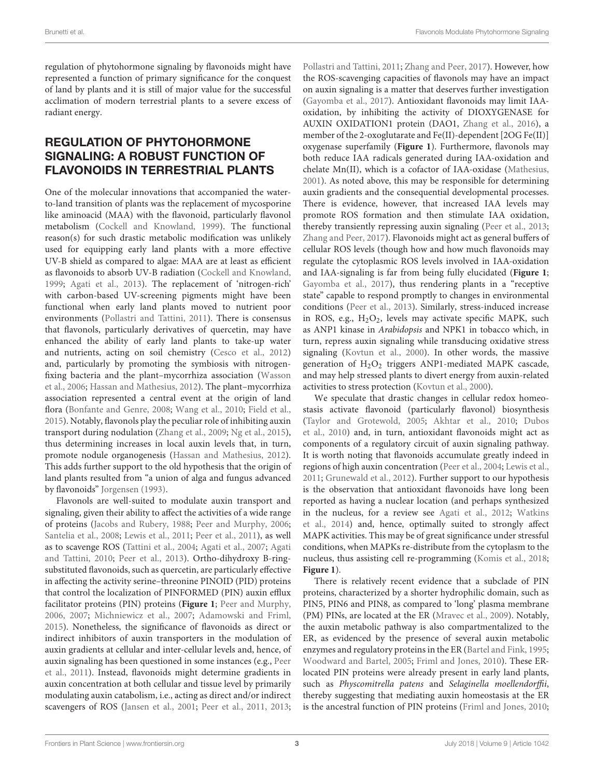regulation of phytohormone signaling by flavonoids might have represented a function of primary significance for the conquest of land by plants and it is still of major value for the successful acclimation of modern terrestrial plants to a severe excess of radiant energy.

# REGULATION OF PHYTOHORMONE SIGNALING: A ROBUST FUNCTION OF FLAVONOIDS IN TERRESTRIAL PLANTS

One of the molecular innovations that accompanied the waterto-land transition of plants was the replacement of mycosporine like aminoacid (MAA) with the flavonoid, particularly flavonol metabolism [\(Cockell and Knowland,](#page-5-4) [1999\)](#page-5-4). The functional reason(s) for such drastic metabolic modification was unlikely used for equipping early land plants with a more effective UV-B shield as compared to algae: MAA are at least as efficient as flavonoids to absorb UV-B radiation [\(Cockell and Knowland,](#page-5-4) [1999;](#page-5-4) [Agati et al.,](#page-5-3) [2013\)](#page-5-3). The replacement of 'nitrogen-rich' with carbon-based UV-screening pigments might have been functional when early land plants moved to nutrient poor environments [\(Pollastri and Tattini,](#page-6-0) [2011\)](#page-6-0). There is consensus that flavonols, particularly derivatives of quercetin, may have enhanced the ability of early land plants to take-up water and nutrients, acting on soil chemistry [\(Cesco et al.,](#page-5-14) [2012\)](#page-5-14) and, particularly by promoting the symbiosis with nitrogenfixing bacteria and the plant–mycorrhiza association [\(Wasson](#page-7-7) [et al.,](#page-7-7) [2006;](#page-7-7) [Hassan and Mathesius,](#page-6-11) [2012\)](#page-6-11). The plant–mycorrhiza association represented a central event at the origin of land flora [\(Bonfante and Genre,](#page-5-15) [2008;](#page-5-15) [Wang et al.,](#page-7-8) [2010;](#page-7-8) [Field et al.,](#page-5-16) [2015\)](#page-5-16). Notably, flavonols play the peculiar role of inhibiting auxin transport during nodulation [\(Zhang et al.,](#page-7-9) [2009;](#page-7-9) [Ng et al.,](#page-6-12) [2015\)](#page-6-12), thus determining increases in local auxin levels that, in turn, promote nodule organogenesis [\(Hassan and Mathesius,](#page-6-11) [2012\)](#page-6-11). This adds further support to the old hypothesis that the origin of land plants resulted from "a union of alga and fungus advanced by flavonoids" [Jorgensen](#page-6-13) [\(1993\)](#page-6-13).

Flavonols are well-suited to modulate auxin transport and signaling, given their ability to affect the activities of a wide range of proteins [\(Jacobs and Rubery,](#page-6-8) [1988;](#page-6-8) [Peer and Murphy,](#page-6-7) [2006;](#page-6-7) [Santelia et al.,](#page-6-14) [2008;](#page-6-14) [Lewis et al.,](#page-6-15) [2011;](#page-6-15) [Peer et al.,](#page-6-16) [2011\)](#page-6-16), as well as to scavenge ROS [\(Tattini et al.,](#page-7-10) [2004;](#page-7-10) [Agati et al.,](#page-5-17) [2007;](#page-5-17) [Agati](#page-5-0) [and Tattini,](#page-5-0) [2010;](#page-5-0) [Peer et al.,](#page-6-10) [2013\)](#page-6-10). Ortho-dihydroxy B-ringsubstituted flavonoids, such as quercetin, are particularly effective in affecting the activity serine–threonine PINOID (PID) proteins that control the localization of PINFORMED (PIN) auxin efflux facilitator proteins (PIN) proteins (**[Figure 1](#page-3-0)**; [Peer and Murphy,](#page-6-7) [2006,](#page-6-7) [2007;](#page-6-17) [Michniewicz et al.,](#page-6-18) [2007;](#page-6-18) [Adamowski and Friml,](#page-5-18) [2015\)](#page-5-18). Nonetheless, the significance of flavonoids as direct or indirect inhibitors of auxin transporters in the modulation of auxin gradients at cellular and inter-cellular levels and, hence, of auxin signaling has been questioned in some instances (e.g., [Peer](#page-6-16) [et al.,](#page-6-16) [2011\)](#page-6-16). Instead, flavonoids might determine gradients in auxin concentration at both cellular and tissue level by primarily modulating auxin catabolism, i.e., acting as direct and/or indirect scavengers of ROS [\(Jansen et al.,](#page-6-19) [2001;](#page-6-19) [Peer et al.,](#page-6-16) [2011,](#page-6-16) [2013;](#page-6-10)

[Pollastri and Tattini,](#page-6-0) [2011;](#page-6-0) [Zhang and Peer,](#page-7-11) [2017\)](#page-7-11). However, how the ROS-scavenging capacities of flavonols may have an impact on auxin signaling is a matter that deserves further investigation [\(Gayomba et al.,](#page-5-13) [2017\)](#page-5-13). Antioxidant flavonoids may limit IAAoxidation, by inhibiting the activity of DIOXYGENASE for AUXIN OXIDATION1 protein (DAO1, [Zhang et al.,](#page-7-12) [2016\)](#page-7-12), a member of the 2-oxoglutarate and Fe(II)-dependent [2OG Fe(II)] oxygenase superfamily (**[Figure 1](#page-3-0)**). Furthermore, flavonols may both reduce IAA radicals generated during IAA-oxidation and chelate Mn(II), which is a cofactor of IAA-oxidase [\(Mathesius,](#page-6-20) [2001\)](#page-6-20). As noted above, this may be responsible for determining auxin gradients and the consequential developmental processes. There is evidence, however, that increased IAA levels may promote ROS formation and then stimulate IAA oxidation, thereby transiently repressing auxin signaling [\(Peer et al.,](#page-6-10) [2013;](#page-6-10) [Zhang and Peer,](#page-7-11) [2017\)](#page-7-11). Flavonoids might act as general buffers of cellular ROS levels (though how and how much flavonoids may regulate the cytoplasmic ROS levels involved in IAA-oxidation and IAA-signaling is far from being fully elucidated (**[Figure 1](#page-3-0)**; [Gayomba et al.,](#page-5-13) [2017\)](#page-5-13), thus rendering plants in a "receptive state" capable to respond promptly to changes in environmental conditions [\(Peer et al.,](#page-6-10) [2013\)](#page-6-10). Similarly, stress-induced increase in ROS, e.g.,  $H_2O_2$ , levels may activate specific MAPK, such as ANP1 kinase in Arabidopsis and NPK1 in tobacco which, in turn, repress auxin signaling while transducing oxidative stress signaling [\(Kovtun et al.,](#page-6-21) [2000\)](#page-6-21). In other words, the massive generation of H<sub>2</sub>O<sub>2</sub> triggers ANP1-mediated MAPK cascade, and may help stressed plants to divert energy from auxin-related activities to stress protection [\(Kovtun et al.,](#page-6-21) [2000\)](#page-6-21).

We speculate that drastic changes in cellular redox homeostasis activate flavonoid (particularly flavonol) biosynthesis [\(Taylor and Grotewold,](#page-7-0) [2005;](#page-7-0) [Akhtar et al.,](#page-5-8) [2010;](#page-5-8) [Dubos](#page-5-9) [et al.,](#page-5-9) [2010\)](#page-5-9) and, in turn, antioxidant flavonoids might act as components of a regulatory circuit of auxin signaling pathway. It is worth noting that flavonoids accumulate greatly indeed in regions of high auxin concentration [\(Peer et al.,](#page-6-22) [2004;](#page-6-22) [Lewis et al.,](#page-6-15) [2011;](#page-6-15) [Grunewald et al.,](#page-5-19) [2012\)](#page-5-19). Further support to our hypothesis is the observation that antioxidant flavonoids have long been reported as having a nuclear location (and perhaps synthesized in the nucleus, for a review see [Agati et al.,](#page-5-2) [2012;](#page-5-2) [Watkins](#page-7-5) [et al.,](#page-7-5) [2014\)](#page-7-5) and, hence, optimally suited to strongly affect MAPK activities. This may be of great significance under stressful conditions, when MAPKs re-distribute from the cytoplasm to the nucleus, thus assisting cell re-programming [\(Komis et al.,](#page-6-23) [2018;](#page-6-23) **[Figure 1](#page-3-0)**).

There is relatively recent evidence that a subclade of PIN proteins, characterized by a shorter hydrophilic domain, such as PIN5, PIN6 and PIN8, as compared to 'long' plasma membrane (PM) PINs, are located at the ER [\(Mravec et al.,](#page-6-24) [2009\)](#page-6-24). Notably, the auxin metabolic pathway is also compartmentalized to the ER, as evidenced by the presence of several auxin metabolic enzymes and regulatory proteins in the ER [\(Bartel and Fink,](#page-5-20) [1995;](#page-5-20) [Woodward and Bartel,](#page-7-13) [2005;](#page-7-13) [Friml and Jones,](#page-5-21) [2010\)](#page-5-21). These ERlocated PIN proteins were already present in early land plants, such as Physcomitrella patens and Selaginella moellendorffii, thereby suggesting that mediating auxin homeostasis at the ER is the ancestral function of PIN proteins [\(Friml and Jones,](#page-5-21) [2010;](#page-5-21)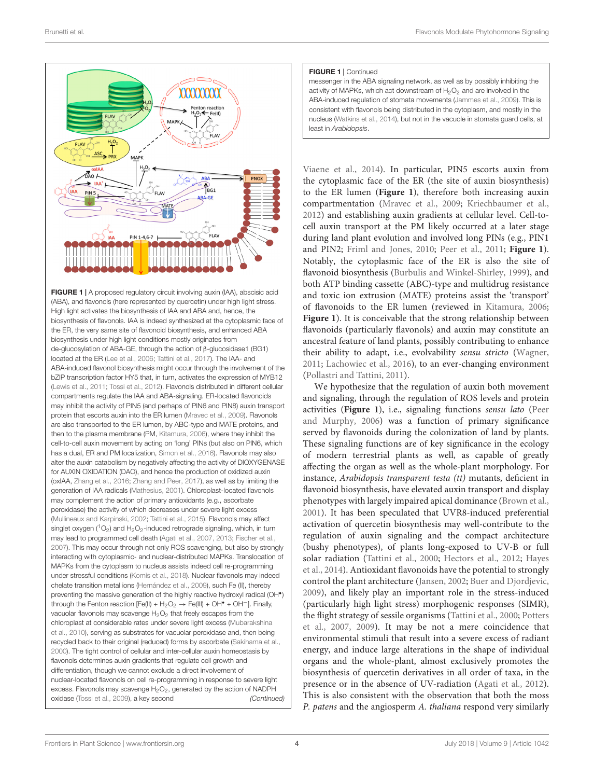

<span id="page-3-0"></span>FIGURE 1 | A proposed regulatory circuit involving auxin (IAA), abscisic acid (ABA), and flavonols (here represented by quercetin) under high light stress. High light activates the biosynthesis of IAA and ABA and, hence, the biosynthesis of flavonols. IAA is indeed synthesized at the cytoplasmic face of the ER, the very same site of flavonoid biosynthesis, and enhanced ABA biosynthesis under high light conditions mostly originates from de-glucosylation of ABA-GE, through the action of β-glucosidase1 (BG1) located at the ER [\(Lee et al.,](#page-6-25) [2006;](#page-6-25) [Tattini et al.,](#page-7-14) [2017\)](#page-7-14). The IAA- and ABA-induced flavonol biosynthesis might occur through the involvement of the bZIP transcription factor HY5 that, in turn, activates the expression of MYB12 [\(Lewis et al.,](#page-6-15) [2011;](#page-6-15) [Tossi et al.,](#page-7-15) [2012\)](#page-7-15). Flavonols distributed in different cellular compartments regulate the IAA and ABA-signaling. ER-located flavonoids may inhibit the activity of PIN5 (and perhaps of PIN6 and PIN8) auxin transport protein that escorts auxin into the ER lumen [\(Mravec et al.,](#page-6-24) [2009\)](#page-6-24). Flavonols are also transported to the ER lumen, by ABC-type and MATE proteins, and then to the plasma membrane (PM, [Kitamura,](#page-6-26) [2006\)](#page-6-26), where they inhibit the cell-to-cell auxin movement by acting on 'long' PINs (but also on PIN6, which has a dual, ER and PM localization, [Simon et al.,](#page-6-27) [2016\)](#page-6-27). Flavonols may also alter the auxin catabolism by negatively affecting the activity of DIOXYGENASE for AUXIN OXIDATION (DAO), and hence the production of oxidized auxin (oxIAA, [Zhang et al.,](#page-7-12) [2016;](#page-7-12) [Zhang and Peer,](#page-7-11) [2017\)](#page-7-11), as well as by limiting the generation of IAA radicals [\(Mathesius,](#page-6-20) [2001\)](#page-6-20). Chloroplast-located flavonols may complement the action of primary antioxidants (e.g., ascorbate peroxidase) the activity of which decreases under severe light excess [\(Mullineaux and Karpinski,](#page-6-28) [2002;](#page-6-28) [Tattini et al.,](#page-7-1) [2015\)](#page-7-1). Flavonols may affect singlet oxygen  $(^{1}O_{2})$  and  $H_{2}O_{2}$ -induced retrograde signaling, which, in turn may lead to programmed cell death [\(Agati et al.,](#page-5-17) [2007,](#page-5-17) [2013;](#page-5-3) [Fischer et al.,](#page-5-22) [2007\)](#page-5-22). This may occur through not only ROS scavenging, but also by strongly interacting with cytoplasmic- and nuclear-distributed MAPKs. Translocation of MAPKs from the cytoplasm to nucleus assists indeed cell re-programming under stressful conditions [\(Komis et al.,](#page-6-23) [2018\)](#page-6-23). Nuclear flavonols may indeed chelate transition metal ions [\(Hernández et al.,](#page-6-29) [2009\)](#page-6-29), such Fe (II), thereby preventing the massive generation of the highly reactive hydroxyl radical (OH<sup>•</sup>) through the Fenton reaction  $[Fe(II) + H_2O_2 \rightarrow Fe(III) + OH^{\bullet} + OH^-]$ . Finally, vacuolar flavonols may scavenge  $H_2O_2$  that freely escapes from the chloroplast at considerable rates under severe light excess [\(Mubarakshina](#page-6-30) [et al.,](#page-6-30) [2010\)](#page-6-30), serving as substrates for vacuolar peroxidase and, then being recycled back to their original (reduced) forms by ascorbate [\(Sakihama et al.,](#page-6-31) [2000\)](#page-6-31). The tight control of cellular and inter-cellular auxin homeostasis by flavonols determines auxin gradients that regulate cell growth and differentiation, though we cannot exclude a direct involvement of nuclear-located flavonols on cell re-programming in response to severe light excess. Flavonols may scavenge  $H_2O_2$ , generated by the action of NADPH oxidase [\(Tossi et al.,](#page-7-16) [2009\)](#page-7-16), a key second (Continued)

#### FIGURE 1 | Continued

messenger in the ABA signaling network, as well as by possibly inhibiting the activity of MAPKs, which act downstream of  $H_2O_2$  and are involved in the ABA-induced regulation of stomata movements [\(Jammes et al.,](#page-6-32) [2009\)](#page-6-32). This is consistent with flavonols being distributed in the cytoplasm, and mostly in the nucleus [\(Watkins et al.,](#page-7-5) [2014\)](#page-7-5), but not in the vacuole in stomata guard cells, at least in Arabidopsis.

[Viaene et al.,](#page-7-17) [2014\)](#page-7-17). In particular, PIN5 escorts auxin from the cytoplasmic face of the ER (the site of auxin biosynthesis) to the ER lumen (**[Figure 1](#page-3-0)**), therefore both increasing auxin compartmentation [\(Mravec et al.,](#page-6-24) [2009;](#page-6-24) [Kriechbaumer et al.,](#page-6-33) [2012\)](#page-6-33) and establishing auxin gradients at cellular level. Cell-tocell auxin transport at the PM likely occurred at a later stage during land plant evolution and involved long PINs (e.g., PIN1 and PIN2; [Friml and Jones,](#page-5-21) [2010;](#page-5-21) [Peer et al.,](#page-6-16) [2011;](#page-6-16) **[Figure 1](#page-3-0)**). Notably, the cytoplasmic face of the ER is also the site of flavonoid biosynthesis [\(Burbulis and Winkel-Shirley,](#page-5-23) [1999\)](#page-5-23), and both ATP binding cassette (ABC)-type and multidrug resistance and toxic ion extrusion (MATE) proteins assist the 'transport' of flavonoids to the ER lumen (reviewed in [Kitamura,](#page-6-26) [2006;](#page-6-26) **[Figure 1](#page-3-0)**). It is conceivable that the strong relationship between flavonoids (particularly flavonols) and auxin may constitute an ancestral feature of land plants, possibly contributing to enhance their ability to adapt, i.e., evolvability sensu stricto [\(Wagner,](#page-7-18) [2011;](#page-7-18) [Lachowiec et al.,](#page-6-34) [2016\)](#page-6-34), to an ever-changing environment [\(Pollastri and Tattini,](#page-6-0) [2011\)](#page-6-0).

We hypothesize that the regulation of auxin both movement and signaling, through the regulation of ROS levels and protein activities (**[Figure 1](#page-3-0)**), i.e., signaling functions sensu lato [\(Peer](#page-6-7) [and Murphy,](#page-6-7) [2006\)](#page-6-7) was a function of primary significance served by flavonoids during the colonization of land by plants. These signaling functions are of key significance in the ecology of modern terrestrial plants as well, as capable of greatly affecting the organ as well as the whole-plant morphology. For instance, Arabidopsis transparent testa (tt) mutants, deficient in flavonoid biosynthesis, have elevated auxin transport and display phenotypes with largely impaired apical dominance [\(Brown et al.,](#page-5-24) [2001\)](#page-5-24). It has been speculated that UVR8-induced preferential activation of quercetin biosynthesis may well-contribute to the regulation of auxin signaling and the compact architecture (bushy phenotypes), of plants long-exposed to UV-B or full solar radiation [\(Tattini et al.,](#page-7-19) [2000;](#page-7-19) [Hectors et al.,](#page-6-35) [2012;](#page-6-35) [Hayes](#page-6-36) [et al.,](#page-6-36) [2014\)](#page-6-36). Antioxidant flavonoids have the potential to strongly control the plant architecture [\(Jansen,](#page-6-37) [2002;](#page-6-37) [Buer and Djordjevic,](#page-5-25) [2009\)](#page-5-25), and likely play an important role in the stress-induced (particularly high light stress) morphogenic responses (SIMR), the flight strategy of sessile organisms [\(Tattini et al.,](#page-7-19) [2000;](#page-7-19) [Potters](#page-6-38) [et al.,](#page-6-38) [2007,](#page-6-38) [2009\)](#page-6-9). It may be not a mere coincidence that environmental stimuli that result into a severe excess of radiant energy, and induce large alterations in the shape of individual organs and the whole-plant, almost exclusively promotes the biosynthesis of quercetin derivatives in all order of taxa, in the presence or in the absence of UV-radiation [\(Agati et al.,](#page-5-2) [2012\)](#page-5-2). This is also consistent with the observation that both the moss P. patens and the angiosperm A. thaliana respond very similarly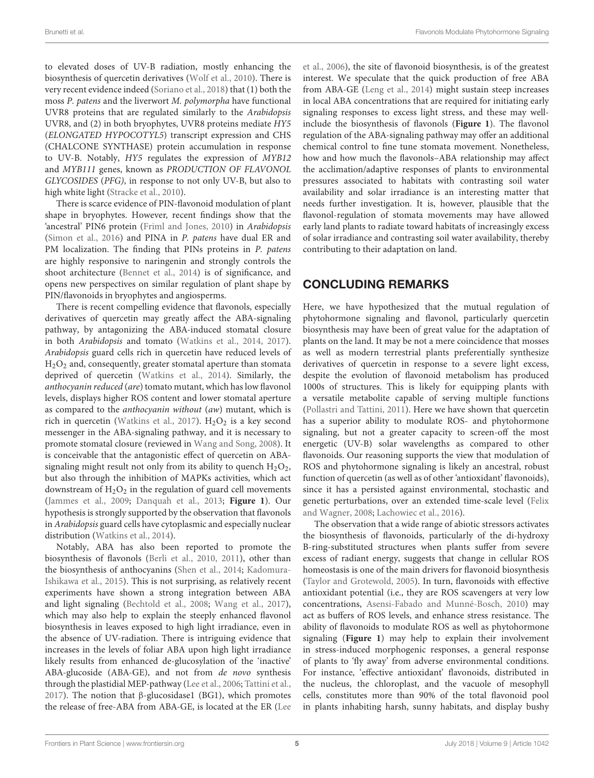to elevated doses of UV-B radiation, mostly enhancing the biosynthesis of quercetin derivatives [\(Wolf et al.,](#page-7-4) [2010\)](#page-7-4). There is very recent evidence indeed [\(Soriano et al.,](#page-7-20) [2018\)](#page-7-20) that (1) both the moss P. patens and the liverwort M. polymorpha have functional UVR8 proteins that are regulated similarly to the Arabidopsis UVR8, and (2) in both bryophytes, UVR8 proteins mediate HY5 (ELONGATED HYPOCOTYL5) transcript expression and CHS (CHALCONE SYNTHASE) protein accumulation in response to UV-B. Notably, HY5 regulates the expression of MYB12 and MYB111 genes, known as PRODUCTION OF FLAVONOL GLYCOSIDES (PFG), in response to not only UV-B, but also to high white light [\(Stracke et al.,](#page-7-21) [2010\)](#page-7-21).

There is scarce evidence of PIN-flavonoid modulation of plant shape in bryophytes. However, recent findings show that the 'ancestral' PIN6 protein [\(Friml and Jones,](#page-5-21) [2010\)](#page-5-21) in Arabidopsis [\(Simon et al.,](#page-6-27) [2016\)](#page-6-27) and PINA in P. patens have dual ER and PM localization. The finding that PINs proteins in P. patens are highly responsive to naringenin and strongly controls the shoot architecture [\(Bennet et al.,](#page-5-26) [2014\)](#page-5-26) is of significance, and opens new perspectives on similar regulation of plant shape by PIN/flavonoids in bryophytes and angiosperms.

There is recent compelling evidence that flavonols, especially derivatives of quercetin may greatly affect the ABA-signaling pathway, by antagonizing the ABA-induced stomatal closure in both Arabidopsis and tomato [\(Watkins et al.,](#page-7-5) [2014,](#page-7-5) [2017\)](#page-7-6). Arabidopsis guard cells rich in quercetin have reduced levels of H2O<sup>2</sup> and, consequently, greater stomatal aperture than stomata deprived of quercetin [\(Watkins et al.,](#page-7-5) [2014\)](#page-7-5). Similarly, the anthocyanin reduced (are) tomato mutant, which has low flavonol levels, displays higher ROS content and lower stomatal aperture as compared to the anthocyanin without (aw) mutant, which is rich in quercetin [\(Watkins et al.,](#page-7-6) [2017\)](#page-7-6).  $H_2O_2$  is a key second messenger in the ABA-signaling pathway, and it is necessary to promote stomatal closure (reviewed in [Wang and Song,](#page-7-22) [2008\)](#page-7-22). It is conceivable that the antagonistic effect of quercetin on ABAsignaling might result not only from its ability to quench  $H_2O_2$ , but also through the inhibition of MAPKs activities, which act downstream of  $H_2O_2$  in the regulation of guard cell movements [\(Jammes et al.,](#page-6-32) [2009;](#page-6-32) [Danquah et al.,](#page-5-27) [2013;](#page-5-27) **[Figure 1](#page-3-0)**). Our hypothesis is strongly supported by the observation that flavonols in Arabidopsis guard cells have cytoplasmic and especially nuclear distribution [\(Watkins et al.,](#page-7-5) [2014\)](#page-7-5).

Notably, ABA has also been reported to promote the biosynthesis of flavonols [\(Berli et al.,](#page-5-28) [2010,](#page-5-28) [2011\)](#page-5-29), other than the biosynthesis of anthocyanins [\(Shen et al.,](#page-6-39) [2014;](#page-6-39) [Kadomura-](#page-6-40)[Ishikawa et al.,](#page-6-40) [2015\)](#page-6-40). This is not surprising, as relatively recent experiments have shown a strong integration between ABA and light signaling [\(Bechtold et al.,](#page-5-30) [2008;](#page-5-30) [Wang et al.,](#page-7-23) [2017\)](#page-7-23), which may also help to explain the steeply enhanced flavonol biosynthesis in leaves exposed to high light irradiance, even in the absence of UV-radiation. There is intriguing evidence that increases in the levels of foliar ABA upon high light irradiance likely results from enhanced de-glucosylation of the 'inactive' ABA-glucoside (ABA-GE), and not from de novo synthesis through the plastidial MEP-pathway [\(Lee et al.,](#page-6-25) [2006;](#page-6-25) [Tattini et al.,](#page-7-14) [2017\)](#page-7-14). The notion that β-glucosidase1 (BG1), which promotes the release of free-ABA from ABA-GE, is located at the ER [\(Lee](#page-6-25) [et al.,](#page-6-25) [2006\)](#page-6-25), the site of flavonoid biosynthesis, is of the greatest interest. We speculate that the quick production of free ABA from ABA-GE [\(Leng et al.,](#page-6-41) [2014\)](#page-6-41) might sustain steep increases in local ABA concentrations that are required for initiating early signaling responses to excess light stress, and these may wellinclude the biosynthesis of flavonols (**[Figure 1](#page-3-0)**). The flavonol regulation of the ABA-signaling pathway may offer an additional chemical control to fine tune stomata movement. Nonetheless, how and how much the flavonols–ABA relationship may affect the acclimation/adaptive responses of plants to environmental pressures associated to habitats with contrasting soil water availability and solar irradiance is an interesting matter that needs further investigation. It is, however, plausible that the flavonol-regulation of stomata movements may have allowed early land plants to radiate toward habitats of increasingly excess of solar irradiance and contrasting soil water availability, thereby contributing to their adaptation on land.

# CONCLUDING REMARKS

Here, we have hypothesized that the mutual regulation of phytohormone signaling and flavonol, particularly quercetin biosynthesis may have been of great value for the adaptation of plants on the land. It may be not a mere coincidence that mosses as well as modern terrestrial plants preferentially synthesize derivatives of quercetin in response to a severe light excess, despite the evolution of flavonoid metabolism has produced 1000s of structures. This is likely for equipping plants with a versatile metabolite capable of serving multiple functions [\(Pollastri and Tattini,](#page-6-0) [2011\)](#page-6-0). Here we have shown that quercetin has a superior ability to modulate ROS- and phytohormone signaling, but not a greater capacity to screen-off the most energetic (UV-B) solar wavelengths as compared to other flavonoids. Our reasoning supports the view that modulation of ROS and phytohormone signaling is likely an ancestral, robust function of quercetin (as well as of other 'antioxidant' flavonoids), since it has a persisted against environmental, stochastic and genetic perturbations, over an extended time-scale level [\(Felix](#page-5-31) [and Wagner,](#page-5-31) [2008;](#page-5-31) [Lachowiec et al.,](#page-6-34) [2016\)](#page-6-34).

The observation that a wide range of abiotic stressors activates the biosynthesis of flavonoids, particularly of the di-hydroxy B-ring-substituted structures when plants suffer from severe excess of radiant energy, suggests that change in cellular ROS homeostasis is one of the main drivers for flavonoid biosynthesis [\(Taylor and Grotewold,](#page-7-0) [2005\)](#page-7-0). In turn, flavonoids with effective antioxidant potential (i.e., they are ROS scavengers at very low concentrations, [Asensi-Fabado and Munné-Bosch,](#page-5-32) [2010\)](#page-5-32) may act as buffers of ROS levels, and enhance stress resistance. The ability of flavonoids to modulate ROS as well as phytohormone signaling (**[Figure 1](#page-3-0)**) may help to explain their involvement in stress-induced morphogenic responses, a general response of plants to 'fly away' from adverse environmental conditions. For instance, 'effective antioxidant' flavonoids, distributed in the nucleus, the chloroplast, and the vacuole of mesophyll cells, constitutes more than 90% of the total flavonoid pool in plants inhabiting harsh, sunny habitats, and display bushy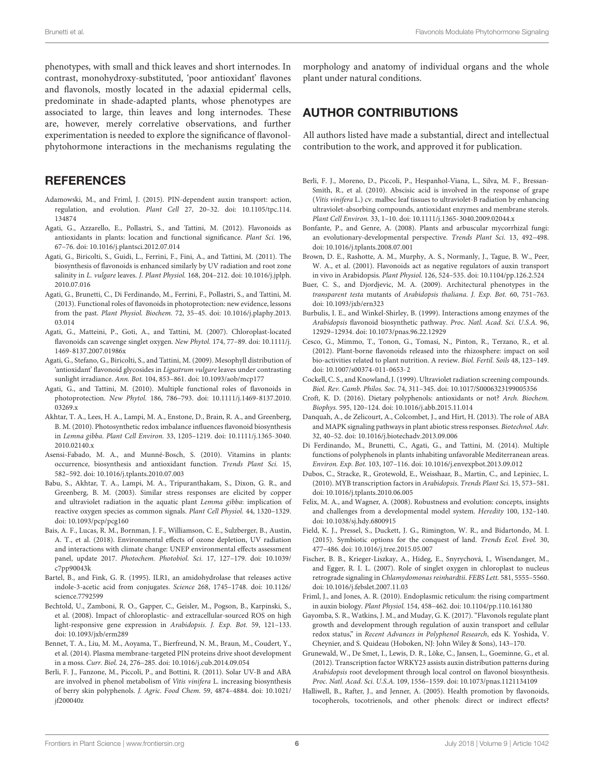phenotypes, with small and thick leaves and short internodes. In contrast, monohydroxy-substituted, 'poor antioxidant' flavones and flavonols, mostly located in the adaxial epidermal cells, predominate in shade-adapted plants, whose phenotypes are associated to large, thin leaves and long internodes. These are, however, merely correlative observations, and further experimentation is needed to explore the significance of flavonolphytohormone interactions in the mechanisms regulating the

## **REFERENCES**

- <span id="page-5-18"></span>Adamowski, M., and Friml, J. (2015). PIN-dependent auxin transport: action, regulation, and evolution. Plant Cell 27, 20–32. [doi: 10.1105/tpc.114.](https://doi.org/10.1105/tpc.114.134874) [134874](https://doi.org/10.1105/tpc.114.134874)
- <span id="page-5-2"></span>Agati, G., Azzarello, E., Pollastri, S., and Tattini, M. (2012). Flavonoids as antioxidants in plants: location and functional significance. Plant Sci. 196, 67–76. [doi: 10.1016/j.plantsci.2012.07.014](https://doi.org/10.1016/j.plantsci.2012.07.014)
- <span id="page-5-6"></span>Agati, G., Biricolti, S., Guidi, L., Ferrini, F., Fini, A., and Tattini, M. (2011). The biosynthesis of flavonoids is enhanced similarly by UV radiation and root zone salinity in L. vulgare leaves. J. Plant Physiol. 168, 204–212. [doi: 10.1016/j.jplph.](https://doi.org/10.1016/j.jplph.2010.07.016) [2010.07.016](https://doi.org/10.1016/j.jplph.2010.07.016)
- <span id="page-5-3"></span>Agati, G., Brunetti, C., Di Ferdinando, M., Ferrini, F., Pollastri, S., and Tattini, M. (2013). Functional roles of flavonoids in photoprotection: new evidence, lessons from the past. Plant Physiol. Biochem. 72, 35–45. [doi: 10.1016/j.plaphy.2013.](https://doi.org/10.1016/j.plaphy.2013.03.014) [03.014](https://doi.org/10.1016/j.plaphy.2013.03.014)
- <span id="page-5-17"></span>Agati, G., Matteini, P., Goti, A., and Tattini, M. (2007). Chloroplast-located flavonoids can scavenge singlet oxygen. New Phytol. 174, 77–89. [doi: 10.1111/j.](https://doi.org/10.1111/j.1469-8137.2007.01986x) [1469-8137.2007.01986x](https://doi.org/10.1111/j.1469-8137.2007.01986x)
- <span id="page-5-5"></span>Agati, G., Stefano, G., Biricolti, S., and Tattini, M. (2009). Mesophyll distribution of 'antioxidant' flavonoid glycosides in Ligustrum vulgare leaves under contrasting sunlight irradiance. Ann. Bot. 104, 853–861. [doi: 10.1093/aob/mcp177](https://doi.org/10.1093/aob/mcp177)
- <span id="page-5-0"></span>Agati, G., and Tattini, M. (2010). Multiple functional roles of flavonoids in photoprotection. New Phytol. 186, 786–793. [doi: 10.1111/j.1469-8137.2010.](https://doi.org/10.1111/j.1469-8137.2010.03269.x) [03269.x](https://doi.org/10.1111/j.1469-8137.2010.03269.x)
- <span id="page-5-8"></span>Akhtar, T. A., Lees, H. A., Lampi, M. A., Enstone, D., Brain, R. A., and Greenberg, B. M. (2010). Photosynthetic redox imbalance influences flavonoid biosynthesis in Lemna gibba. Plant Cell Environ. 33, 1205–1219. [doi: 10.1111/j.1365-3040.](https://doi.org/10.1111/j.1365-3040.2010.02140.x) [2010.02140.x](https://doi.org/10.1111/j.1365-3040.2010.02140.x)
- <span id="page-5-32"></span>Asensi-Fabado, M. A., and Munné-Bosch, S. (2010). Vitamins in plants: occurrence, biosynthesis and antioxidant function. Trends Plant Sci. 15, 582–592. [doi: 10.1016/j.tplants.2010.07.003](https://doi.org/10.1016/j.tplants.2010.07.003)
- <span id="page-5-7"></span>Babu, S., Akhtar, T. A., Lampi, M. A., Tripuranthakam, S., Dixon, G. R., and Greenberg, B. M. (2003). Similar stress responses are elicited by copper and ultraviolet radiation in the aquatic plant Lemma gibba: implication of reactive oxygen species as common signals. Plant Cell Physiol. 44, 1320–1329. [doi: 10.1093/pcp/pcg160](https://doi.org/10.1093/pcp/pcg160)
- <span id="page-5-1"></span>Bais, A. F., Lucas, R. M., Bornman, J. F., Williamson, C. E., Sulzberger, B., Austin, A. T., et al. (2018). Environmental effects of ozone depletion, UV radiation and interactions with climate change: UNEP environmental effects assessment panel, update 2017. Photochem. Photobiol. Sci. 17, 127–179. [doi: 10.1039/](https://doi.org/10.1039/c7pp90043k) [c7pp90043k](https://doi.org/10.1039/c7pp90043k)
- <span id="page-5-20"></span>Bartel, B., and Fink, G. R. (1995). ILR1, an amidohydrolase that releases active indole-3-acetic acid from conjugates. Science 268, 1745–1748. [doi: 10.1126/](https://doi.org/10.1126/science.7792599) [science.7792599](https://doi.org/10.1126/science.7792599)
- <span id="page-5-30"></span>Bechtold, U., Zamboni, R. O., Gapper, C., Geisler, M., Pogson, B., Karpinski, S., et al. (2008). Impact of chloroplastic- and extracellular-sourced ROS on high light-responsive gene expression in Arabidopsis. J. Exp. Bot. 59, 121–133. [doi: 10.1093/jxb/erm289](https://doi.org/10.1093/jxb/erm289)
- <span id="page-5-26"></span>Bennet, T. A., Liu, M. M., Aoyama, T., Bierfreund, N. M., Braun, M., Coudert, Y., et al. (2014). Plasma membrane-targeted PIN proteins drive shoot development in a moss. Curr. Biol. 24, 276–285. [doi: 10.1016/j.cub.2014.09.054](https://doi.org/10.1016/j.cub.2014.09.054)
- <span id="page-5-29"></span>Berli, F. J., Fanzone, M., Piccoli, P., and Bottini, R. (2011). Solar UV-B and ABA are involved in phenol metabolism of Vitis vinifera L. increasing biosynthesis of berry skin polyphenols. J. Agric. Food Chem. 59, 4874–4884. [doi: 10.1021/](https://doi.org/10.1021/jf200040z) [jf200040z](https://doi.org/10.1021/jf200040z)

morphology and anatomy of individual organs and the whole plant under natural conditions.

## AUTHOR CONTRIBUTIONS

All authors listed have made a substantial, direct and intellectual contribution to the work, and approved it for publication.

- <span id="page-5-28"></span>Berli, F. J., Moreno, D., Piccoli, P., Hespanhol-Viana, L., Silva, M. F., Bressan-Smith, R., et al. (2010). Abscisic acid is involved in the response of grape (Vitis vinifera L.) cv. malbec leaf tissues to ultraviolet-B radiation by enhancing ultraviolet-absorbing compounds, antioxidant enzymes and membrane sterols. Plant Cell Environ. 33, 1–10. [doi: 10.1111/j.1365-3040.2009.02044.x](https://doi.org/10.1111/j.1365-3040.2009.02044.x)
- <span id="page-5-15"></span>Bonfante, P., and Genre, A. (2008). Plants and arbuscular mycorrhizal fungi: an evolutionary-developmental perspective. Trends Plant Sci. 13, 492–498. [doi: 10.1016/j.tplants.2008.07.001](https://doi.org/10.1016/j.tplants.2008.07.001)
- <span id="page-5-24"></span>Brown, D. E., Rashotte, A. M., Murphy, A. S., Normanly, J., Tague, B. W., Peer, W. A., et al. (2001). Flavonoids act as negative regulators of auxin transport in vivo in Arabidopsis. Plant Physiol. 126, 524–535. [doi: 10.1104/pp.126.2.524](https://doi.org/10.1104/pp.126.2.524)
- <span id="page-5-25"></span>Buer, C. S., and Djordjevic, M. A. (2009). Architectural phenotypes in the transparent testa mutants of Arabidopsis thaliana. J. Exp. Bot. 60, 751–763. [doi: 10.1093/jxb/ern323](https://doi.org/10.1093/jxb/ern323)
- <span id="page-5-23"></span>Burbulis, I. E., and Winkel-Shirley, B. (1999). Interactions among enzymes of the Arabidopsis flavonoid biosynthetic pathway. Proc. Natl. Acad. Sci. U.S.A. 96, 12929–12934. [doi: 10.1073/pnas.96.22.12929](https://doi.org/10.1073/pnas.96.22.12929)
- <span id="page-5-14"></span>Cesco, G., Mimmo, T., Tonon, G., Tomasi, N., Pinton, R., Terzano, R., et al. (2012). Plant-borne flavonoids released into the rhizosphere: impact on soil bio-activities related to plant nutrition. A review. Biol. Fertil. Soils 48, 123–149. [doi: 10.1007/s00374-011-0653-2](https://doi.org/10.1007/s00374-011-0653-2)
- <span id="page-5-4"></span>Cockell, C. S., and Knowland, J. (1999). Ultraviolet radiation screening compounds. Biol. Rev. Camb. Philos. Soc. 74, 311–345. [doi: 10.1017/S0006323199005356](https://doi.org/10.1017/S0006323199005356)
- <span id="page-5-11"></span>Croft, K. D. (2016). Dietary polyphenols: antioxidants or not? Arch. Biochem. Biophys. 595, 120–124. [doi: 10.1016/j.abb.2015.11.014](https://doi.org/10.1016/j.abb.2015.11.014)
- <span id="page-5-27"></span>Danquah, A., de Zelicourt, A., Colcombet, J., and Hirt, H. (2013). The role of ABA and MAPK signaling pathways in plant abiotic stress responses. Biotechnol. Adv. 32, 40–52. [doi: 10.1016/j.biotechadv.2013.09.006](https://doi.org/10.1016/j.biotechadv.2013.09.006)
- <span id="page-5-12"></span>Di Ferdinando, M., Brunetti, C., Agati, G., and Tattini, M. (2014). Multiple functions of polyphenols in plants inhabiting unfavorable Mediterranean areas. Environ. Exp. Bot. 103, 107–116. [doi: 10.1016/j.envexpbot.2013.09.012](https://doi.org/10.1016/j.envexpbot.2013.09.012)
- <span id="page-5-9"></span>Dubos, C., Stracke, R., Grotewold, E., Weisshaar, B., Martin, C., and Lepiniec, L. (2010). MYB transcription factors in Arabidopsis. Trends Plant Sci. 15, 573–581. [doi: 10.1016/j.tplants.2010.06.005](https://doi.org/10.1016/j.tplants.2010.06.005)
- <span id="page-5-31"></span>Felix, M. A., and Wagner, A. (2008). Robustness and evolution: concepts, insights and challenges from a developmental model system. Heredity 100, 132–140. [doi: 10.1038/sj.hdy.6800915](https://doi.org/10.1038/sj.hdy.6800915)
- <span id="page-5-16"></span>Field, K. J., Pressel, S., Duckett, J. G., Rimington, W. R., and Bidartondo, M. I. (2015). Symbiotic options for the conquest of land. Trends Ecol. Evol. 30, 477–486. [doi: 10.1016/j.tree.2015.05.007](https://doi.org/10.1016/j.tree.2015.05.007)
- <span id="page-5-22"></span>Fischer, B. B., Krieger-Liszkay, A., Hideg, E., Snyrychová, I., Wisendanger, M., and Egger, R. I. L. (2007). Role of singlet oxygen in chloroplast to nucleus retrograde signaling in Chlamydomonas reinhardtii. FEBS Lett. 581, 5555–5560. [doi: 10.1016/j.febslet.2007.11.03](https://doi.org/10.1016/j.febslet.2007.11.03)
- <span id="page-5-21"></span>Friml, J., and Jones, A. R. (2010). Endoplasmic reticulum: the rising compartment in auxin biology. Plant Physiol. 154, 458–462. [doi: 10.1104/pp.110.161380](https://doi.org/10.1104/pp.110.161380)
- <span id="page-5-13"></span>Gayomba, S. R., Watkins, J. M., and Muday, G. K. (2017). "Flavonols regulate plant growth and development through regulation of auxin transport and cellular redox status," in Recent Advances in Polyphenol Research, eds K. Yoshida, V. Cheynier, and S. Quideau (Hoboken, NJ: John Wiley & Sons), 143–170.
- <span id="page-5-19"></span>Grunewald, W., De Smet, I., Lewis, D. R., Löke, C., Jansen, L., Goeminne, G., et al. (2012). Transcription factor WRKY23 assists auxin distribution patterns during Arabidopsis root development through local control on flavonol biosynthesis. Proc. Natl. Acad. Sci. U.S.A. 109, 1556–1559. [doi: 10.1073/pnas.1121134109](https://doi.org/10.1073/pnas.1121134109)
- <span id="page-5-10"></span>Halliwell, B., Rafter, J., and Jenner, A. (2005). Health promotion by flavonoids, tocopherols, tocotrienols, and other phenols: direct or indirect effects?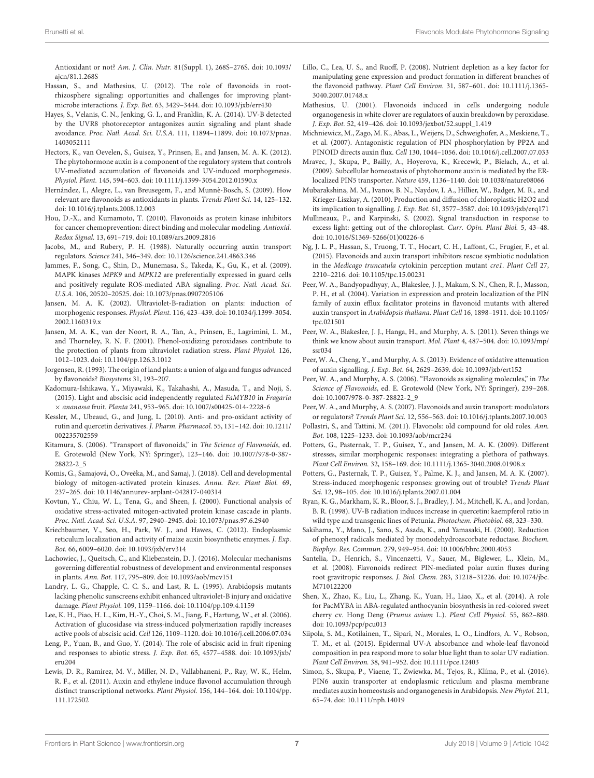Antioxidant or not? Am. J. Clin. Nutr. 81(Suppl. 1), 268S–276S. [doi: 10.1093/](https://doi.org/10.1093/ajcn/81.1.268S) [ajcn/81.1.268S](https://doi.org/10.1093/ajcn/81.1.268S)

- <span id="page-6-11"></span>Hassan, S., and Mathesius, U. (2012). The role of flavonoids in rootrhizosphere signaling: opportunities and challenges for improving plantmicrobe interactions. J. Exp. Bot. 63, 3429–3444. [doi: 10.1093/jxb/err430](https://doi.org/10.1093/jxb/err430)
- <span id="page-6-36"></span>Hayes, S., Velanis, C. N., Jenking, G. I., and Franklin, K. A. (2014). UV-B detected by the UVR8 photoreceptor antagonizes auxin signaling and plant shade avoidance. Proc. Natl. Acad. Sci. U.S.A. 111, 11894–11899. [doi: 10.1073/pnas.](https://doi.org/10.1073/pnas.1403052111) [1403052111](https://doi.org/10.1073/pnas.1403052111)
- <span id="page-6-35"></span>Hectors, K., van Oevelen, S., Guisez, Y., Prinsen, E., and Jansen, M. A. K. (2012). The phytohormone auxin is a component of the regulatory system that controls UV-mediated accumulation of flavonoids and UV-induced morphogenesis. Physiol. Plant. 145, 594–603. [doi: 10.1111/j.1399-3054.2012.01590.x](https://doi.org/10.1111/j.1399-3054.2012.01590.x)
- <span id="page-6-29"></span>Hernández, I., Alegre, L., van Breusegem, F., and Munnè-Bosch, S. (2009). How relevant are flavonoids as antioxidants in plants. Trends Plant Sci. 14, 125–132. [doi: 10.1016/j.tplants.2008.12.003](https://doi.org/10.1016/j.tplants.2008.12.003)
- <span id="page-6-6"></span>Hou, D.-X., and Kumamoto, T. (2010). Flavonoids as protein kinase inhibitors for cancer chemoprevention: direct binding and molecular modeling. Antioxid. Redox Signal. 13, 691–719. [doi: 10.1089/ars.2009.2816](https://doi.org/10.1089/ars.2009.2816)
- <span id="page-6-8"></span>Jacobs, M., and Rubery, P. H. (1988). Naturally occurring auxin transport regulators. Science 241, 346–349. [doi: 10.1126/science.241.4863.346](https://doi.org/10.1126/science.241.4863.346)
- <span id="page-6-32"></span>Jammes, F., Song, C., Shin, D., Munemasa, S., Takeda, K., Gu, K., et al. (2009). MAPK kinases MPK9 and MPK12 are preferentially expressed in guard cells and positively regulate ROS-mediated ABA signaling. Proc. Natl. Acad. Sci. U.S.A. 106, 20520–20525. [doi: 10.1073/pnas.0907205106](https://doi.org/10.1073/pnas.0907205106)
- <span id="page-6-37"></span>Jansen, M. A. K. (2002). Ultraviolet-B-radiation on plants: induction of morphogenic responses. Physiol. Plant. 116, 423–439. [doi: 10.1034/j.1399-3054.](https://doi.org/10.1034/j.1399-3054.2002.1160319.x) [2002.1160319.x](https://doi.org/10.1034/j.1399-3054.2002.1160319.x)
- <span id="page-6-19"></span>Jansen, M. A. K., van der Noort, R. A., Tan, A., Prinsen, E., Lagrimini, L. M., and Thorneley, R. N. F. (2001). Phenol-oxidizing peroxidases contribute to the protection of plants from ultraviolet radiation stress. Plant Physiol. 126, 1012–1023. [doi: 10.1104/pp.126.3.1012](https://doi.org/10.1104/pp.126.3.1012)
- <span id="page-6-13"></span>Jorgensen, R. (1993). The origin of land plants: a union of alga and fungus advanced by flavonoids? Biosystems 31, 193–207.
- <span id="page-6-40"></span>Kadomura-Ishikawa, Y., Miyawaki, K., Takahashi, A., Masuda, T., and Noji, S. (2015). Light and abscisic acid independently regulated FaMYB10 in Fragaria × ananassa fruit. Planta 241, 953–965. [doi: 10.1007/s00425-014-2228-6](https://doi.org/10.1007/s00425-014-2228-6)
- <span id="page-6-5"></span>Kessler, M., Ubeaud, G., and Jung, L. (2010). Anti- and pro-oxidant activity of rutin and quercetin derivatives. J. Pharm. Pharmacol. 55, 131–142. [doi: 10.1211/](https://doi.org/10.1211/002235702559) [002235702559](https://doi.org/10.1211/002235702559)
- <span id="page-6-26"></span>Kitamura, S. (2006). "Transport of flavonoids," in The Science of Flavonoids, ed. E. Grotewold (New York, NY: Springer), 123–146. [doi: 10.1007/978-0-387-](https://doi.org/10.1007/978-0-387-28822-2_5) [28822-2\\_5](https://doi.org/10.1007/978-0-387-28822-2_5)
- <span id="page-6-23"></span>Komis, G., Samajová, O., Oveèka, M., and Samaj, J. (2018). Cell and developmental biology of mitogen-activated protein kinases. Annu. Rev. Plant Biol. 69, 237–265. [doi: 10.1146/annurev-arplant-042817-040314](https://doi.org/10.1146/annurev-arplant-042817-040314)
- <span id="page-6-21"></span>Kovtun, Y., Chiu, W. L., Tena, G., and Sheen, J. (2000). Functional analysis of oxidative stress-activated mitogen-activated protein kinase cascade in plants. Proc. Natl. Acad. Sci. U.S.A. 97, 2940–2945. [doi: 10.1073/pnas.97.6.2940](https://doi.org/10.1073/pnas.97.6.2940)
- <span id="page-6-33"></span>Kriechbaumer, V., Seo, H., Park, W. J., and Hawes, C. (2012). Endoplasmic reticulum localization and activity of maize auxin biosynthetic enzymes. J. Exp. Bot. 66, 6009–6020. [doi: 10.1093/jxb/erv314](https://doi.org/10.1093/jxb/erv314)
- <span id="page-6-34"></span>Lachowiec, J., Queitsch, C., and Kliebenstein, D. J. (2016). Molecular mechanisms governing differential robustness of development and environmental responses in plants. Ann. Bot. 117, 795–809. [doi: 10.1093/aob/mcv151](https://doi.org/10.1093/aob/mcv151)
- <span id="page-6-1"></span>Landry, L. G., Chapple, C. C. S., and Last, R. L. (1995). Arabidopsis mutants lacking phenolic sunscreens exhibit enhanced ultraviolet-B injury and oxidative damage. Plant Physiol. 109, 1159–1166. [doi: 10.1104/pp.109.4.1159](https://doi.org/10.1104/pp.109.4.1159)
- <span id="page-6-25"></span>Lee, K. H., Piao, H. L., Kim, H.-Y., Choi, S. M., Jiang, F., Hartung, W., et al. (2006). Activation of glucosidase via stress-induced polymerization rapidly increases active pools of abscisic acid. Cell 126, 1109–1120. [doi: 10.1016/j.cell.2006.07.034](https://doi.org/10.1016/j.cell.2006.07.034)
- <span id="page-6-41"></span>Leng, P., Yuan, B., and Guo, Y. (2014). The role of abscisic acid in fruit ripening and responses to abiotic stress. J. Exp. Bot. 65, 4577–4588. [doi: 10.1093/jxb/](https://doi.org/10.1093/jxb/eru204) [eru204](https://doi.org/10.1093/jxb/eru204)
- <span id="page-6-15"></span>Lewis, D. R., Ramirez, M. V., Miller, N. D., Vallabhaneni, P., Ray, W. K., Helm, R. F., et al. (2011). Auxin and ethylene induce flavonol accumulation through distinct transcriptional networks. Plant Physiol. 156, 144–164. [doi: 10.1104/pp.](https://doi.org/10.1104/pp.111.172502) [111.172502](https://doi.org/10.1104/pp.111.172502)
- <span id="page-6-4"></span>Lillo, C., Lea, U. S., and Ruoff, P. (2008). Nutrient depletion as a key factor for manipulating gene expression and product formation in different branches of the flavonoid pathway. Plant Cell Environ. 31, 587–601. [doi: 10.1111/j.1365-](https://doi.org/10.1111/j.1365-3040.2007.01748.x) [3040.2007.01748.x](https://doi.org/10.1111/j.1365-3040.2007.01748.x)
- <span id="page-6-20"></span>Mathesius, U. (2001). Flavonoids induced in cells undergoing nodule organogenesis in white clover are regulators of auxin breakdown by peroxidase. J. Exp. Bot. 52, 419–426. [doi: 10.1093/jexbot/52.suppl\\_1.419](https://doi.org/10.1093/jexbot/52.suppl_1.419)
- <span id="page-6-18"></span>Michniewicz, M., Zago, M. K., Abas, L., Weijers, D., Schweighofer, A., Meskiene, T., et al. (2007). Antagonistic regulation of PIN phosphorylation by PP2A and PINOID directs auxin flux. Cell 130, 1044–1056. [doi: 10.1016/j.cell.2007.07.033](https://doi.org/10.1016/j.cell.2007.07.033)
- <span id="page-6-24"></span>Mravec, J., Skupa, P., Bailly, A., Hoyerova, K., Krecewk, P., Bielach, A., et al. (2009). Subcellular homeostasis of phytohormone auxin is mediated by the ERlocalized PIN5 transporter. Nature 459, 1136–1140. [doi: 10.1038/nature08066](https://doi.org/10.1038/nature08066)
- <span id="page-6-30"></span>Mubarakshina, M. M., Ivanov, B. N., Naydov, I. A., Hillier, W., Badger, M. R., and Krieger-Liszkay, A. (2010). Production and diffusion of chloroplastic H2O2 and its implication to signalling. J. Exp. Bot. 61, 3577–3587. [doi: 10.1093/jxb/erq171](https://doi.org/10.1093/jxb/erq171)
- <span id="page-6-28"></span>Mullineaux, P., and Karpinski, S. (2002). Signal transduction in response to excess light: getting out of the chloroplast. Curr. Opin. Plant Biol. 5, 43–48. [doi: 10.1016/S1369-5266\(01\)00226-6](https://doi.org/10.1016/S1369-5266(01)00226-6)
- <span id="page-6-12"></span>Ng, J. L. P., Hassan, S., Truong, T. T., Hocart, C. H., Laffont, C., Frugier, F., et al. (2015). Flavonoids and auxin transport inhibitors rescue symbiotic nodulation in the Medicago truncatula cytokinin perception mutant cre1. Plant Cell 27, 2210–2216. [doi: 10.1105/tpc.15.00231](https://doi.org/10.1105/tpc.15.00231)
- <span id="page-6-22"></span>Peer, W. A., Bandyopadhyay, A., Blakeslee, J. J., Makam, S. N., Chen, R. J., Masson, P. H., et al. (2004). Variation in expression and protein localization of the PIN family of auxin efflux facilitator proteins in flavonoid mutants with altered auxin transport in Arabidopsis thaliana. Plant Cell 16, 1898–1911. [doi: 10.1105/](https://doi.org/10.1105/tpc.021501) [tpc.021501](https://doi.org/10.1105/tpc.021501)
- <span id="page-6-16"></span>Peer, W. A., Blakeslee, J. J., Hanga, H., and Murphy, A. S. (2011). Seven things we think we know about auxin transport. Mol. Plant 4, 487–504. [doi: 10.1093/mp/](https://doi.org/10.1093/mp/ssr034) [ssr034](https://doi.org/10.1093/mp/ssr034)
- <span id="page-6-10"></span>Peer, W. A., Cheng, Y., and Murphy, A. S. (2013). Evidence of oxidative attenuation of auxin signalling. J. Exp. Bot. 64, 2629–2639. [doi: 10.1093/jxb/ert152](https://doi.org/10.1093/jxb/ert152)
- <span id="page-6-7"></span>Peer, W. A., and Murphy, A. S. (2006). "Flavonoids as signaling molecules," in The Science of Flavonoids, ed. E. Grotewold (New York, NY: Springer), 239–268. [doi: 10.1007/978-0-387-28822-2\\_9](https://doi.org/10.1007/978-0-387-28822-2_9)
- <span id="page-6-17"></span>Peer, W. A., and Murphy, A. S. (2007). Flavonoids and auxin transport: modulators or regulators? Trends Plant Sci. 12, 556–563. [doi: 10.1016/j.tplants.2007.10.003](https://doi.org/10.1016/j.tplants.2007.10.003)
- <span id="page-6-0"></span>Pollastri, S., and Tattini, M. (2011). Flavonols: old compound for old roles. Ann. Bot. 108, 1225–1233. [doi: 10.1093/aob/mcr234](https://doi.org/10.1093/aob/mcr234)
- <span id="page-6-9"></span>Potters, G., Pasternak, T. P., Guisez, Y., and Jansen, M. A. K. (2009). Different stresses, similar morphogenic responses: integrating a plethora of pathways. Plant Cell Environ. 32, 158–169. [doi: 10.1111/j.1365-3040.2008.01908.x](https://doi.org/10.1111/j.1365-3040.2008.01908.x)
- <span id="page-6-38"></span>Potters, G., Pasternak, T. P., Guisez, Y., Palme, K. J., and Jansen, M. A. K. (2007). Stress-induced morphogenic responses: growing out of trouble? Trends Plant Sci. 12, 98–105. [doi: 10.1016/j.tplants.2007.01.004](https://doi.org/10.1016/j.tplants.2007.01.004)
- <span id="page-6-3"></span>Ryan, K. G., Markham, K. R., Bloor, S. J., Bradley, J. M., Mitchell, K. A., and Jordan, B. R. (1998). UV-B radiation induces increase in quercetin: kaempferol ratio in wild type and transgenic lines of Petunia. Photochem. Photobiol. 68, 323–330.
- <span id="page-6-31"></span>Sakihama, Y., Mano, J., Sano, S., Asada, K., and Yamasaki, H. (2000). Reduction of phenoxyl radicals mediated by monodehydroascorbate reductase. Biochem. Biophys. Res. Commun. 279, 949–954. [doi: 10.1006/bbrc.2000.4053](https://doi.org/10.1006/bbrc.2000.4053)
- <span id="page-6-14"></span>Santelia, D., Henrich, S., Vincenzetti, V., Sauer, M., Biglewer, L., Klein, M., et al. (2008). Flavonoids redirect PIN-mediated polar auxin fluxes during root gravitropic responses. J. Biol. Chem. 283, 31218–31226. [doi: 10.1074/jbc.](https://doi.org/10.1074/jbc.M710122200) [M710122200](https://doi.org/10.1074/jbc.M710122200)
- <span id="page-6-39"></span>Shen, X., Zhao, K., Liu, L., Zhang, K., Yuan, H., Liao, X., et al. (2014). A role for PacMYBA in ABA-regulated anthocyanin biosynthesis in red-colored sweet cherry cv. Hong Deng (Prunus avium L.). Plant Cell Physiol. 55, 862–880. [doi: 10.1093/pcp/pcu013](https://doi.org/10.1093/pcp/pcu013)
- <span id="page-6-2"></span>Siipola, S. M., Kotilainen, T., Sipari, N., Morales, L. O., Lindfors, A. V., Robson, T. M., et al. (2015). Epidermal UV-A absorbance and whole-leaf flavonoid composition in pea respond more to solar blue light than to solar UV radiation. Plant Cell Environ. 38, 941–952. [doi: 10.1111/pce.12403](https://doi.org/10.1111/pce.12403)
- <span id="page-6-27"></span>Simon, S., Skupa, P., Viaene, T., Zwiewka, M., Tejos, R., Klíma, P., et al. (2016). PIN6 auxin transporter at endoplasmic reticulum and plasma membrane mediates auxin homeostasis and organogenesis in Arabidopsis. New Phytol. 211, 65–74. [doi: 10.1111/nph.14019](https://doi.org/10.1111/nph.14019)